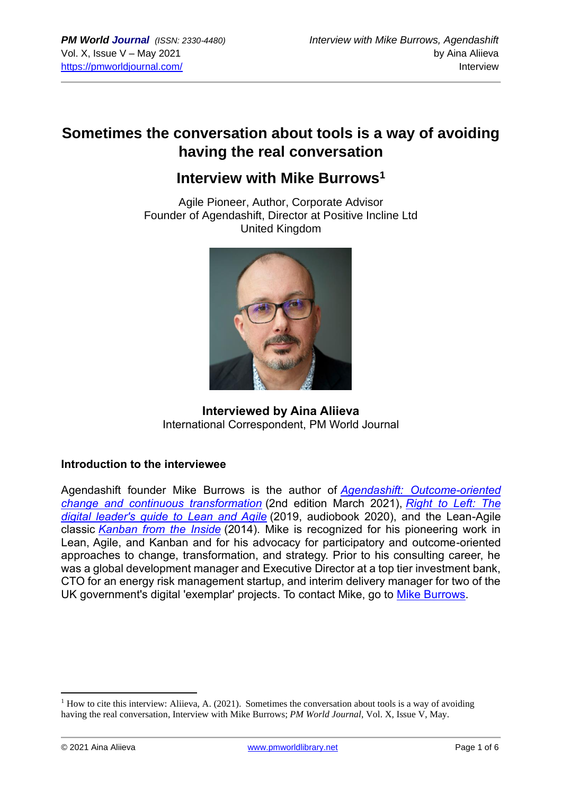# **Sometimes the conversation about tools is a way of avoiding having the real conversation**

# **Interview with Mike Burrows<sup>1</sup>**

Agile Pioneer, Author, Corporate Advisor Founder of Agendashift, Director at Positive Incline Ltd United Kingdom



**Interviewed by Aina Aliieva** International Correspondent, PM World Journal

# **Introduction to the interviewee**

Agendashift founder Mike Burrows is the author of *Agendashift: [Outcome-oriented](https://www.agendashift.com/book)  [change and continuous transformation](https://www.agendashift.com/book)* (2nd edition March 2021), *[Right to Left: The](https://www.agendashift.com/right-to-left)  [digital leader's guide to Lean and Agile](https://www.agendashift.com/right-to-left)* (2019, audiobook 2020), and the Lean-Agile classic *[Kanban from the Inside](https://www.agendashift.com/kfti)* (2014). Mike is recognized for his pioneering work in Lean, Agile, and Kanban and for his advocacy for participatory and outcome-oriented approaches to change, transformation, and strategy. Prior to his consulting career, he was a global development manager and Executive Director at a top tier investment bank, CTO for an energy risk management startup, and interim delivery manager for two of the UK government's digital 'exemplar' projects. To contact Mike, go to [Mike Burrows.](https://www.agendashift.com/users/08HVCvp)

 $<sup>1</sup>$  How to cite this interview: Aliieva, A. (2021). Sometimes the conversation about tools is a way of avoiding</sup> having the real conversation, Interview with Mike Burrows; *PM World Journal*, Vol. X, Issue V, May.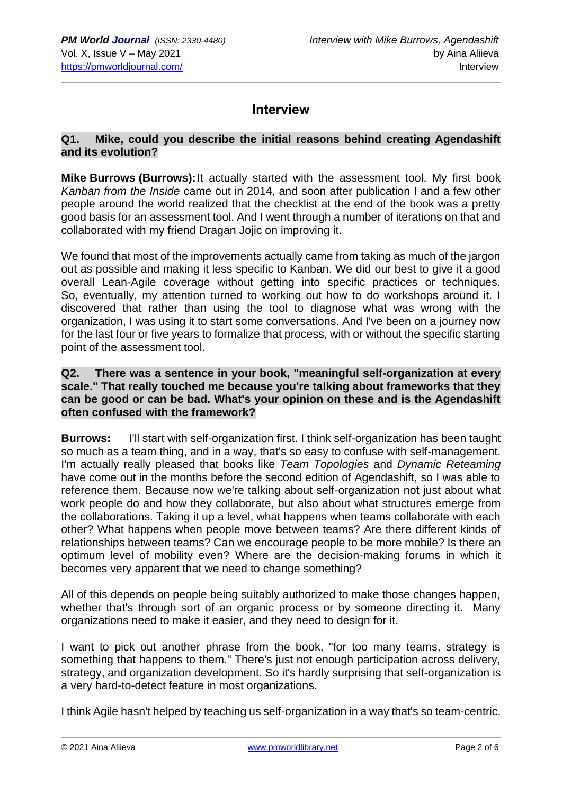# **Interview**

## **Q1. Mike, could you describe the initial reasons behind creating Agendashift and its evolution?**

**Mike Burrows (Burrows):**It actually started with the assessment tool. My first book *Kanban from the Inside* came out in 2014, and soon after publication I and a few other people around the world realized that the checklist at the end of the book was a pretty good basis for an assessment tool. And I went through a number of iterations on that and collaborated with my friend Dragan Jojic on improving it.

We found that most of the improvements actually came from taking as much of the jargon out as possible and making it less specific to Kanban. We did our best to give it a good overall Lean-Agile coverage without getting into specific practices or techniques. So, eventually, my attention turned to working out how to do workshops around it. I discovered that rather than using the tool to diagnose what was wrong with the organization, I was using it to start some conversations. And I've been on a journey now for the last four or five years to formalize that process, with or without the specific starting point of the assessment tool.

#### **Q2. There was a sentence in your book, "meaningful self-organization at every scale." That really touched me because you're talking about frameworks that they can be good or can be bad. What's your opinion on these and is the Agendashift often confused with the framework?**

**Burrows:** I'll start with self-organization first. I think self-organization has been taught so much as a team thing, and in a way, that's so easy to confuse with self-management. I'm actually really pleased that books like *Team Topologies* and *Dynamic Reteaming* have come out in the months before the second edition of Agendashift, so I was able to reference them. Because now we're talking about self-organization not just about what work people do and how they collaborate, but also about what structures emerge from the collaborations. Taking it up a level, what happens when teams collaborate with each other? What happens when people move between teams? Are there different kinds of relationships between teams? Can we encourage people to be more mobile? Is there an optimum level of mobility even? Where are the decision-making forums in which it becomes very apparent that we need to change something?

All of this depends on people being suitably authorized to make those changes happen, whether that's through sort of an organic process or by someone directing it. Many organizations need to make it easier, and they need to design for it.

I want to pick out another phrase from the book, "for too many teams, strategy is something that happens to them." There's just not enough participation across delivery, strategy, and organization development. So it's hardly surprising that self-organization is a very hard-to-detect feature in most organizations.

I think Agile hasn't helped by teaching us self-organization in a way that's so team-centric.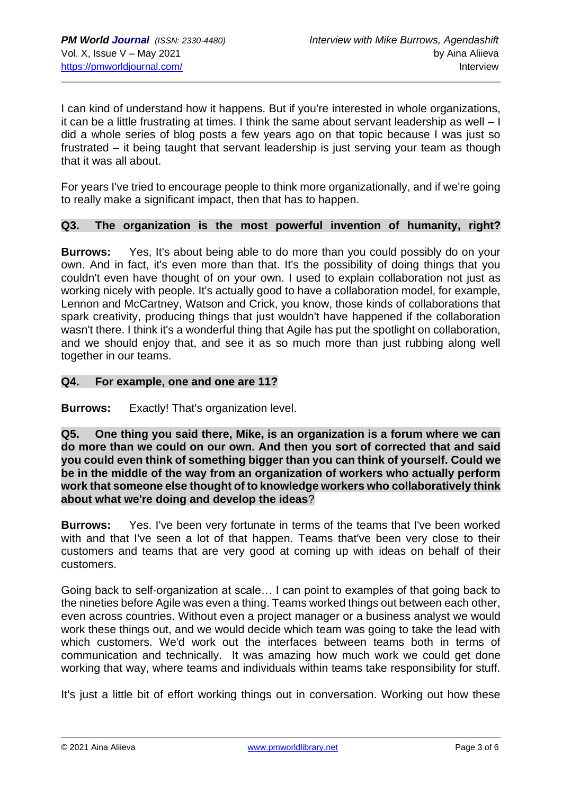I can kind of understand how it happens. But if you're interested in whole organizations, it can be a little frustrating at times. I think the same about servant leadership as well – I did a whole series of blog posts a few years ago on that topic because I was just so frustrated – it being taught that servant leadership is just serving your team as though that it was all about.

For years I've tried to encourage people to think more organizationally, and if we're going to really make a significant impact, then that has to happen.

#### **Q3. The organization is the most powerful invention of humanity, right?**

**Burrows:** Yes, It's about being able to do more than you could possibly do on your own. And in fact, it's even more than that. It's the possibility of doing things that you couldn't even have thought of on your own. I used to explain collaboration not just as working nicely with people. It's actually good to have a collaboration model, for example, Lennon and McCartney, Watson and Crick, you know, those kinds of collaborations that spark creativity, producing things that just wouldn't have happened if the collaboration wasn't there. I think it's a wonderful thing that Agile has put the spotlight on collaboration, and we should enjoy that, and see it as so much more than just rubbing along well together in our teams.

#### **Q4. For example, one and one are 11?**

**Burrows:** Exactly! That's organization level.

**Q5. One thing you said there, Mike, is an organization is a forum where we can do more than we could on our own. And then you sort of corrected that and said you could even think of something bigger than you can think of yourself. Could we be in the middle of the way from an organization of workers who actually perform work that someone else thought of to knowledge workers who collaboratively think about what we're doing and develop the ideas**?

**Burrows:** Yes. I've been very fortunate in terms of the teams that I've been worked with and that I've seen a lot of that happen. Teams that've been very close to their customers and teams that are very good at coming up with ideas on behalf of their customers.

Going back to self-organization at scale… I can point to examples of that going back to the nineties before Agile was even a thing. Teams worked things out between each other, even across countries. Without even a project manager or a business analyst we would work these things out, and we would decide which team was going to take the lead with which customers. We'd work out the interfaces between teams both in terms of communication and technically. It was amazing how much work we could get done working that way, where teams and individuals within teams take responsibility for stuff.

It's just a little bit of effort working things out in conversation. Working out how these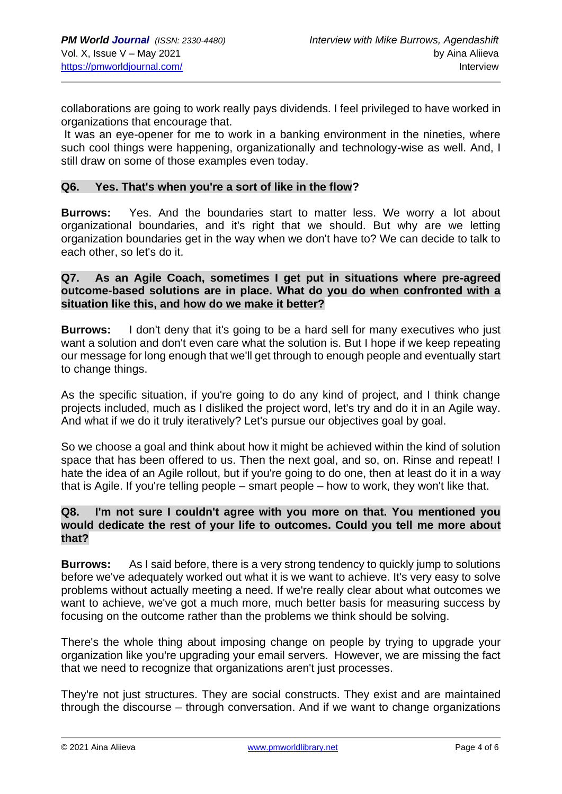collaborations are going to work really pays dividends. I feel privileged to have worked in organizations that encourage that.

It was an eye-opener for me to work in a banking environment in the nineties, where such cool things were happening, organizationally and technology-wise as well. And, I still draw on some of those examples even today.

#### **Q6. Yes. That's when you're a sort of like in the flow?**

**Burrows:** Yes. And the boundaries start to matter less. We worry a lot about organizational boundaries, and it's right that we should. But why are we letting organization boundaries get in the way when we don't have to? We can decide to talk to each other, so let's do it.

#### **Q7. As an Agile Coach, sometimes I get put in situations where pre-agreed outcome-based solutions are in place. What do you do when confronted with a situation like this, and how do we make it better?**

**Burrows:** I don't deny that it's going to be a hard sell for many executives who just want a solution and don't even care what the solution is. But I hope if we keep repeating our message for long enough that we'll get through to enough people and eventually start to change things.

As the specific situation, if you're going to do any kind of project, and I think change projects included, much as I disliked the project word, let's try and do it in an Agile way. And what if we do it truly iteratively? Let's pursue our objectives goal by goal.

So we choose a goal and think about how it might be achieved within the kind of solution space that has been offered to us. Then the next goal, and so, on. Rinse and repeat! I hate the idea of an Agile rollout, but if you're going to do one, then at least do it in a way that is Agile. If you're telling people – smart people – how to work, they won't like that.

## **Q8. I'm not sure I couldn't agree with you more on that. You mentioned you would dedicate the rest of your life to outcomes. Could you tell me more about that?**

**Burrows:** As I said before, there is a very strong tendency to quickly jump to solutions before we've adequately worked out what it is we want to achieve. It's very easy to solve problems without actually meeting a need. If we're really clear about what outcomes we want to achieve, we've got a much more, much better basis for measuring success by focusing on the outcome rather than the problems we think should be solving.

There's the whole thing about imposing change on people by trying to upgrade your organization like you're upgrading your email servers. However, we are missing the fact that we need to recognize that organizations aren't just processes.

They're not just structures. They are social constructs. They exist and are maintained through the discourse – through conversation. And if we want to change organizations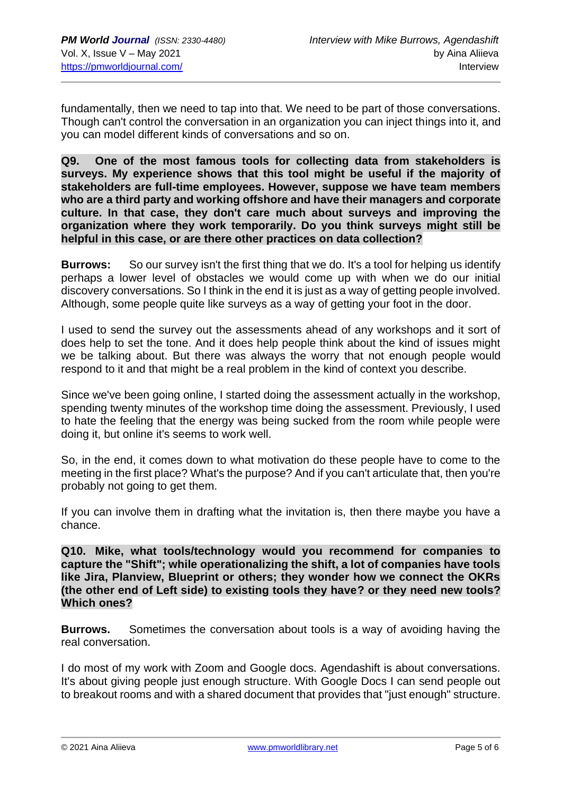fundamentally, then we need to tap into that. We need to be part of those conversations. Though can't control the conversation in an organization you can inject things into it, and you can model different kinds of conversations and so on.

**Q9. One of the most famous tools for collecting data from stakeholders is surveys. My experience shows that this tool might be useful if the majority of stakeholders are full-time employees. However, suppose we have team members who are a third party and working offshore and have their managers and corporate culture. In that case, they don't care much about surveys and improving the organization where they work temporarily. Do you think surveys might still be helpful in this case, or are there other practices on data collection?**

**Burrows:** So our survey isn't the first thing that we do. It's a tool for helping us identify perhaps a lower level of obstacles we would come up with when we do our initial discovery conversations. So I think in the end it is just as a way of getting people involved. Although, some people quite like surveys as a way of getting your foot in the door.

I used to send the survey out the assessments ahead of any workshops and it sort of does help to set the tone. And it does help people think about the kind of issues might we be talking about. But there was always the worry that not enough people would respond to it and that might be a real problem in the kind of context you describe.

Since we've been going online, I started doing the assessment actually in the workshop, spending twenty minutes of the workshop time doing the assessment. Previously, I used to hate the feeling that the energy was being sucked from the room while people were doing it, but online it's seems to work well.

So, in the end, it comes down to what motivation do these people have to come to the meeting in the first place? What's the purpose? And if you can't articulate that, then you're probably not going to get them.

If you can involve them in drafting what the invitation is, then there maybe you have a chance.

**Q10. Mike, what tools/technology would you recommend for companies to capture the "Shift"; while operationalizing the shift, a lot of companies have tools like Jira, Planview, Blueprint or others; they wonder how we connect the OKRs (the other end of Left side) to existing tools they have? or they need new tools? Which ones?**

**Burrows.** Sometimes the conversation about tools is a way of avoiding having the real conversation.

I do most of my work with Zoom and Google docs. Agendashift is about conversations. It's about giving people just enough structure. With Google Docs I can send people out to breakout rooms and with a shared document that provides that "just enough" structure.